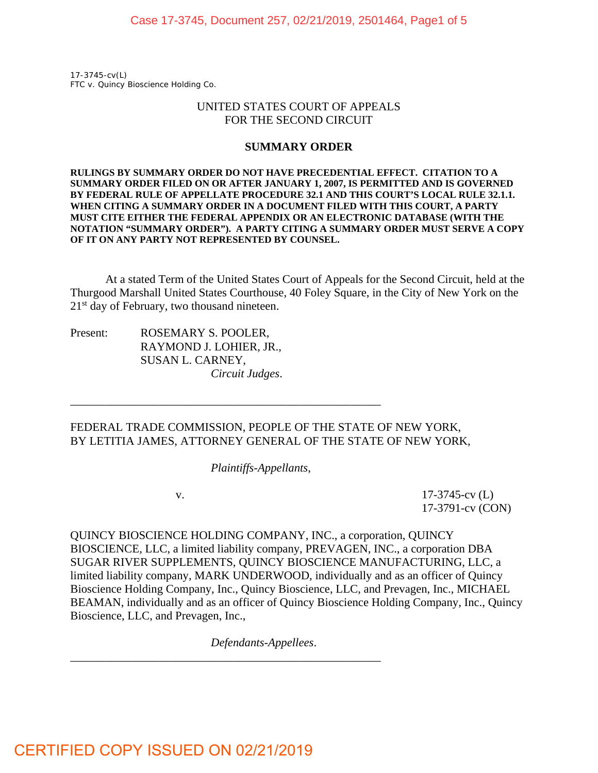17-3745-cv(L) *FTC v. Quincy Bioscience Holding Co.*

### UNITED STATES COURT OF APPEALS FOR THE SECOND CIRCUIT

#### **SUMMARY ORDER**

**RULINGS BY SUMMARY ORDER DO NOT HAVE PRECEDENTIAL EFFECT. CITATION TO A SUMMARY ORDER FILED ON OR AFTER JANUARY 1, 2007, IS PERMITTED AND IS GOVERNED BY FEDERAL RULE OF APPELLATE PROCEDURE 32.1 AND THIS COURT'S LOCAL RULE 32.1.1. WHEN CITING A SUMMARY ORDER IN A DOCUMENT FILED WITH THIS COURT, A PARTY MUST CITE EITHER THE FEDERAL APPENDIX OR AN ELECTRONIC DATABASE (WITH THE NOTATION "SUMMARY ORDER"). A PARTY CITING A SUMMARY ORDER MUST SERVE A COPY OF IT ON ANY PARTY NOT REPRESENTED BY COUNSEL.** 

 At a stated Term of the United States Court of Appeals for the Second Circuit, held at the Thurgood Marshall United States Courthouse, 40 Foley Square, in the City of New York on the  $21<sup>st</sup>$  day of February, two thousand nineteen.

Present: ROSEMARY S. POOLER, RAYMOND J. LOHIER, JR., SUSAN L. CARNEY, *Circuit Judges*.

FEDERAL TRADE COMMISSION, PEOPLE OF THE STATE OF NEW YORK, BY LETITIA JAMES, ATTORNEY GENERAL OF THE STATE OF NEW YORK,

*Plaintiffs-Appellants*,

\_\_\_\_\_\_\_\_\_\_\_\_\_\_\_\_\_\_\_\_\_\_\_\_\_\_\_\_\_\_\_\_\_\_\_\_\_\_\_\_\_\_\_\_\_\_\_\_\_\_\_\_\_

 v. 17-3745-cv (L) 17-3791-cv (CON)

QUINCY BIOSCIENCE HOLDING COMPANY, INC., a corporation, QUINCY BIOSCIENCE, LLC, a limited liability company, PREVAGEN, INC., a corporation DBA SUGAR RIVER SUPPLEMENTS, QUINCY BIOSCIENCE MANUFACTURING, LLC, a limited liability company, MARK UNDERWOOD, individually and as an officer of Quincy Bioscience Holding Company, Inc., Quincy Bioscience, LLC, and Prevagen, Inc., MICHAEL BEAMAN, individually and as an officer of Quincy Bioscience Holding Company, Inc., Quincy Bioscience, LLC, and Prevagen, Inc.,

*Defendants-Appellees*.

\_\_\_\_\_\_\_\_\_\_\_\_\_\_\_\_\_\_\_\_\_\_\_\_\_\_\_\_\_\_\_\_\_\_\_\_\_\_\_\_\_\_\_\_\_\_\_\_\_\_\_\_\_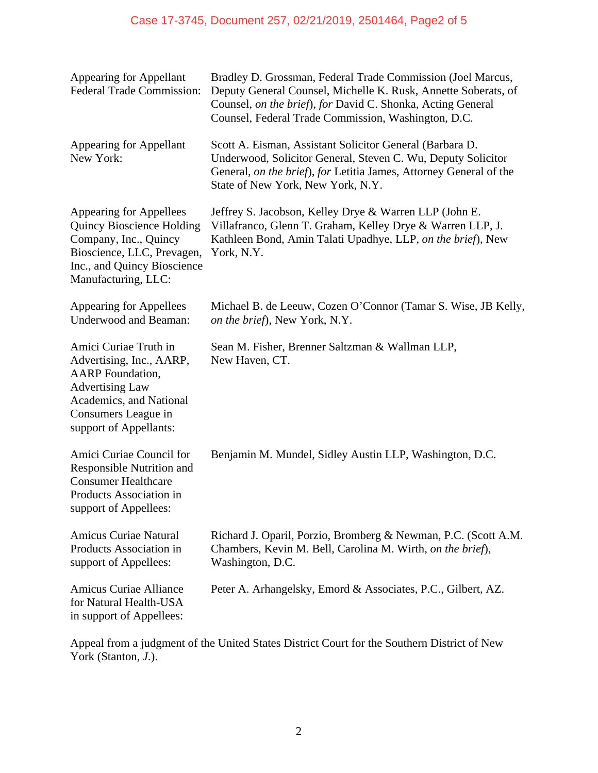# Case 17-3745, Document 257, 02/21/2019, 2501464, Page2 of 5

| Appearing for Appellant<br><b>Federal Trade Commission:</b>                                                                                                                        | Bradley D. Grossman, Federal Trade Commission (Joel Marcus,<br>Deputy General Counsel, Michelle K. Rusk, Annette Soberats, of<br>Counsel, on the brief), for David C. Shonka, Acting General<br>Counsel, Federal Trade Commission, Washington, D.C. |
|------------------------------------------------------------------------------------------------------------------------------------------------------------------------------------|-----------------------------------------------------------------------------------------------------------------------------------------------------------------------------------------------------------------------------------------------------|
| Appearing for Appellant<br>New York:                                                                                                                                               | Scott A. Eisman, Assistant Solicitor General (Barbara D.<br>Underwood, Solicitor General, Steven C. Wu, Deputy Solicitor<br>General, on the brief), for Letitia James, Attorney General of the<br>State of New York, New York, N.Y.                 |
| <b>Appearing for Appellees</b><br><b>Quincy Bioscience Holding</b><br>Company, Inc., Quincy<br>Bioscience, LLC, Prevagen,<br>Inc., and Quincy Bioscience<br>Manufacturing, LLC:    | Jeffrey S. Jacobson, Kelley Drye & Warren LLP (John E.<br>Villafranco, Glenn T. Graham, Kelley Drye & Warren LLP, J.<br>Kathleen Bond, Amin Talati Upadhye, LLP, on the brief), New<br>York, N.Y.                                                   |
| Appearing for Appellees<br><b>Underwood and Beaman:</b>                                                                                                                            | Michael B. de Leeuw, Cozen O'Connor (Tamar S. Wise, JB Kelly,<br>on the brief), New York, N.Y.                                                                                                                                                      |
| Amici Curiae Truth in<br>Advertising, Inc., AARP,<br><b>AARP</b> Foundation,<br><b>Advertising Law</b><br>Academics, and National<br>Consumers League in<br>support of Appellants: | Sean M. Fisher, Brenner Saltzman & Wallman LLP,<br>New Haven, CT.                                                                                                                                                                                   |
| Amici Curiae Council for<br>Responsible Nutrition and<br><b>Consumer Healthcare</b><br>Products Association in<br>support of Appellees:                                            | Benjamin M. Mundel, Sidley Austin LLP, Washington, D.C.                                                                                                                                                                                             |
| <b>Amicus Curiae Natural</b><br>Products Association in<br>support of Appellees:                                                                                                   | Richard J. Oparil, Porzio, Bromberg & Newman, P.C. (Scott A.M.)<br>Chambers, Kevin M. Bell, Carolina M. Wirth, on the brief),<br>Washington, D.C.                                                                                                   |
| <b>Amicus Curiae Alliance</b><br>for Natural Health-USA<br>in support of Appellees:                                                                                                | Peter A. Arhangelsky, Emord & Associates, P.C., Gilbert, AZ.                                                                                                                                                                                        |

Appeal from a judgment of the United States District Court for the Southern District of New York (Stanton, *J.*).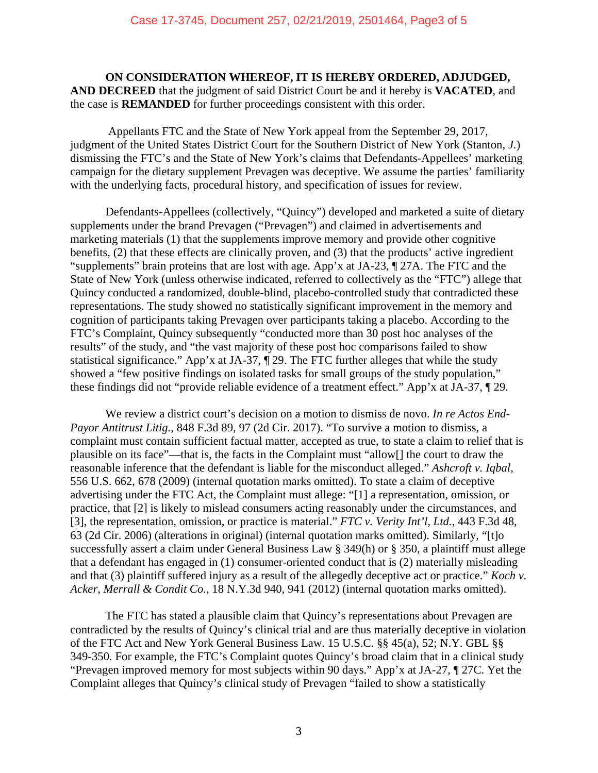### **ON CONSIDERATION WHEREOF, IT IS HEREBY ORDERED, ADJUDGED, AND DECREED** that the judgment of said District Court be and it hereby is **VACATED**, and the case is **REMANDED** for further proceedings consistent with this order.

 Appellants FTC and the State of New York appeal from the September 29, 2017, judgment of the United States District Court for the Southern District of New York (Stanton, *J.*) dismissing the FTC's and the State of New York's claims that Defendants-Appellees' marketing campaign for the dietary supplement Prevagen was deceptive. We assume the parties' familiarity with the underlying facts, procedural history, and specification of issues for review.

 Defendants-Appellees (collectively, "Quincy") developed and marketed a suite of dietary supplements under the brand Prevagen ("Prevagen") and claimed in advertisements and marketing materials (1) that the supplements improve memory and provide other cognitive benefits, (2) that these effects are clinically proven, and (3) that the products' active ingredient "supplements" brain proteins that are lost with age. App'x at JA-23, ¶ 27A. The FTC and the State of New York (unless otherwise indicated, referred to collectively as the "FTC") allege that Quincy conducted a randomized, double-blind, placebo-controlled study that contradicted these representations. The study showed no statistically significant improvement in the memory and cognition of participants taking Prevagen over participants taking a placebo. According to the FTC's Complaint, Quincy subsequently "conducted more than 30 post hoc analyses of the results" of the study, and "the vast majority of these post hoc comparisons failed to show statistical significance." App'x at JA-37, ¶ 29. The FTC further alleges that while the study showed a "few positive findings on isolated tasks for small groups of the study population," these findings did not "provide reliable evidence of a treatment effect." App'x at JA-37, ¶ 29.

 We review a district court's decision on a motion to dismiss de novo. *In re Actos End-Payor Antitrust Litig.*, 848 F.3d 89, 97 (2d Cir. 2017). "To survive a motion to dismiss, a complaint must contain sufficient factual matter, accepted as true, to state a claim to relief that is plausible on its face"—that is, the facts in the Complaint must "allow[] the court to draw the reasonable inference that the defendant is liable for the misconduct alleged." *Ashcroft v. Iqbal*, 556 U.S. 662, 678 (2009) (internal quotation marks omitted). To state a claim of deceptive advertising under the FTC Act, the Complaint must allege: "[1] a representation, omission, or practice, that [2] is likely to mislead consumers acting reasonably under the circumstances, and [3], the representation, omission, or practice is material." *FTC v. Verity Int'l, Ltd.*, 443 F.3d 48, 63 (2d Cir. 2006) (alterations in original) (internal quotation marks omitted). Similarly, "[t]o successfully assert a claim under General Business Law § 349(h) or § 350, a plaintiff must allege that a defendant has engaged in (1) consumer-oriented conduct that is (2) materially misleading and that (3) plaintiff suffered injury as a result of the allegedly deceptive act or practice." *Koch v. Acker, Merrall & Condit Co.*, 18 N.Y.3d 940, 941 (2012) (internal quotation marks omitted).

 The FTC has stated a plausible claim that Quincy's representations about Prevagen are contradicted by the results of Quincy's clinical trial and are thus materially deceptive in violation of the FTC Act and New York General Business Law. 15 U.S.C. §§ 45(a), 52; N.Y. GBL §§ 349-350. For example, the FTC's Complaint quotes Quincy's broad claim that in a clinical study "Prevagen improved memory for most subjects within 90 days." App'x at JA-27, ¶ 27C. Yet the Complaint alleges that Quincy's clinical study of Prevagen "failed to show a statistically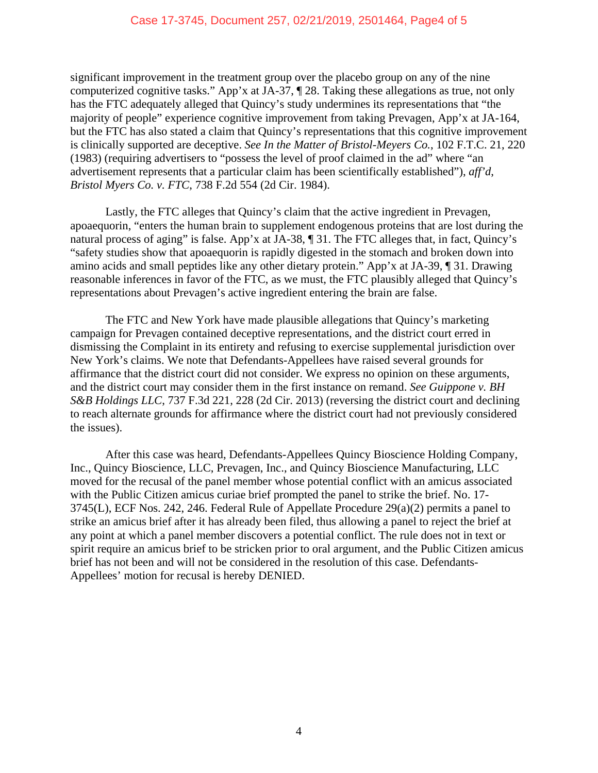significant improvement in the treatment group over the placebo group on any of the nine computerized cognitive tasks." App'x at JA-37, ¶ 28. Taking these allegations as true, not only has the FTC adequately alleged that Quincy's study undermines its representations that "the majority of people" experience cognitive improvement from taking Prevagen, App'x at JA-164, but the FTC has also stated a claim that Quincy's representations that this cognitive improvement is clinically supported are deceptive. *See In the Matter of Bristol-Meyers Co.*, 102 F.T.C. 21, 220 (1983) (requiring advertisers to "possess the level of proof claimed in the ad" where "an advertisement represents that a particular claim has been scientifically established"), *aff'd*, *Bristol Myers Co. v. FTC*, 738 F.2d 554 (2d Cir. 1984).

 Lastly, the FTC alleges that Quincy's claim that the active ingredient in Prevagen, apoaequorin, "enters the human brain to supplement endogenous proteins that are lost during the natural process of aging" is false. App'x at JA-38, ¶ 31. The FTC alleges that, in fact, Quincy's "safety studies show that apoaequorin is rapidly digested in the stomach and broken down into amino acids and small peptides like any other dietary protein." App'x at JA-39, ¶ 31. Drawing reasonable inferences in favor of the FTC, as we must, the FTC plausibly alleged that Quincy's representations about Prevagen's active ingredient entering the brain are false.

 The FTC and New York have made plausible allegations that Quincy's marketing campaign for Prevagen contained deceptive representations, and the district court erred in dismissing the Complaint in its entirety and refusing to exercise supplemental jurisdiction over New York's claims. We note that Defendants-Appellees have raised several grounds for affirmance that the district court did not consider. We express no opinion on these arguments, and the district court may consider them in the first instance on remand. *See Guippone v. BH S&B Holdings LLC*, 737 F.3d 221, 228 (2d Cir. 2013) (reversing the district court and declining to reach alternate grounds for affirmance where the district court had not previously considered the issues).

 After this case was heard, Defendants-Appellees Quincy Bioscience Holding Company, Inc., Quincy Bioscience, LLC, Prevagen, Inc., and Quincy Bioscience Manufacturing, LLC moved for the recusal of the panel member whose potential conflict with an amicus associated with the Public Citizen amicus curiae brief prompted the panel to strike the brief. No. 17- 3745(L), ECF Nos. 242, 246. Federal Rule of Appellate Procedure 29(a)(2) permits a panel to strike an amicus brief after it has already been filed, thus allowing a panel to reject the brief at any point at which a panel member discovers a potential conflict. The rule does not in text or spirit require an amicus brief to be stricken prior to oral argument, and the Public Citizen amicus brief has not been and will not be considered in the resolution of this case. Defendants-Appellees' motion for recusal is hereby DENIED.